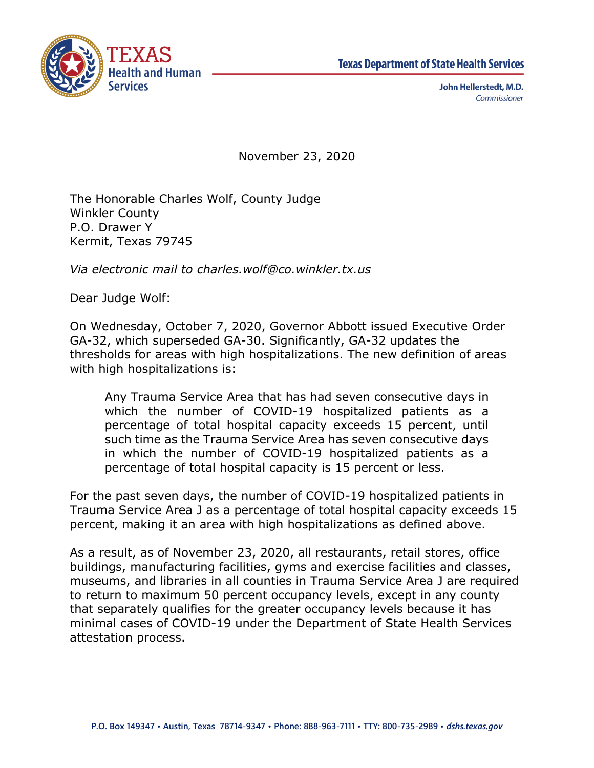



John Hellerstedt, M.D. Commissioner

November 23, 2020

The Honorable Charles Wolf, County Judge Winkler County P.O. Drawer Y Kermit, Texas 79745

*Via electronic mail to charles.wolf@co.winkler.tx.us*

Dear Judge Wolf:

On Wednesday, October 7, 2020, Governor Abbott issued Executive Order GA-32, which superseded GA-30. Significantly, GA-32 updates the thresholds for areas with high hospitalizations. The new definition of areas with high hospitalizations is:

Any Trauma Service Area that has had seven consecutive days in which the number of COVID-19 hospitalized patients as a percentage of total hospital capacity exceeds 15 percent, until such time as the Trauma Service Area has seven consecutive days in which the number of COVID-19 hospitalized patients as a percentage of total hospital capacity is 15 percent or less.

For the past seven days, the number of COVID-19 hospitalized patients in Trauma Service Area J as a percentage of total hospital capacity exceeds 15 percent, making it an area with high hospitalizations as defined above.

As a result, as of November 23, 2020, all restaurants, retail stores, office buildings, manufacturing facilities, gyms and exercise facilities and classes, museums, and libraries in all counties in Trauma Service Area J are required to return to maximum 50 percent occupancy levels, except in any county that separately qualifies for the greater occupancy levels because it has minimal cases of COVID-19 under the Department of State Health Services attestation process.